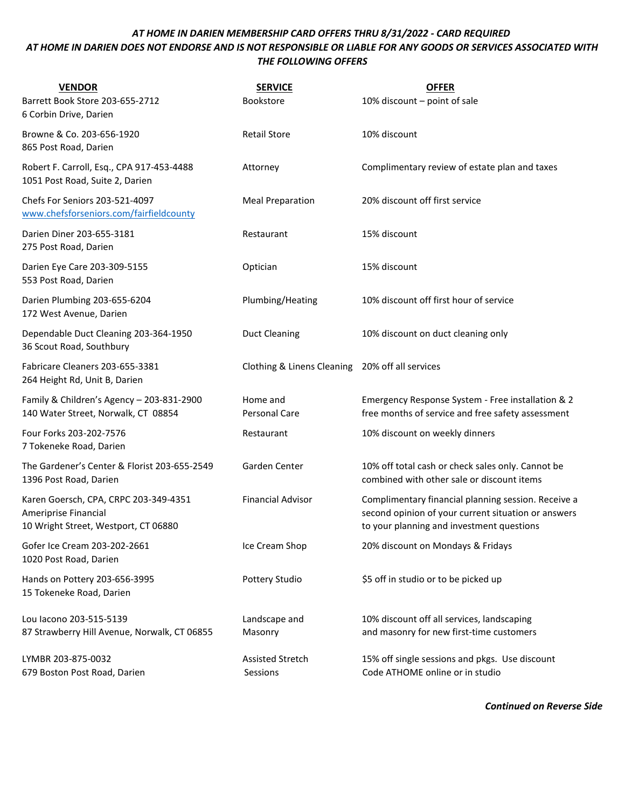## *AT HOME IN DARIEN MEMBERSHIP CARD OFFERS THRU 8/31/2022 - CARD REQUIRED AT HOME IN DARIEN DOES NOT ENDORSE AND IS NOT RESPONSIBLE OR LIABLE FOR ANY GOODS OR SERVICES ASSOCIATED WITH THE FOLLOWING OFFERS*

| <b>VENDOR</b><br>Barrett Book Store 203-655-2712<br>6 Corbin Drive, Darien                            | <b>SERVICE</b><br><b>Bookstore</b>  | <b>OFFER</b><br>10% discount - point of sale                                                                                                            |
|-------------------------------------------------------------------------------------------------------|-------------------------------------|---------------------------------------------------------------------------------------------------------------------------------------------------------|
| Browne & Co. 203-656-1920<br>865 Post Road, Darien                                                    | <b>Retail Store</b>                 | 10% discount                                                                                                                                            |
| Robert F. Carroll, Esq., CPA 917-453-4488<br>1051 Post Road, Suite 2, Darien                          | Attorney                            | Complimentary review of estate plan and taxes                                                                                                           |
| Chefs For Seniors 203-521-4097<br>www.chefsforseniors.com/fairfieldcounty                             | <b>Meal Preparation</b>             | 20% discount off first service                                                                                                                          |
| Darien Diner 203-655-3181<br>275 Post Road, Darien                                                    | Restaurant                          | 15% discount                                                                                                                                            |
| Darien Eye Care 203-309-5155<br>553 Post Road, Darien                                                 | Optician                            | 15% discount                                                                                                                                            |
| Darien Plumbing 203-655-6204<br>172 West Avenue, Darien                                               | Plumbing/Heating                    | 10% discount off first hour of service                                                                                                                  |
| Dependable Duct Cleaning 203-364-1950<br>36 Scout Road, Southbury                                     | <b>Duct Cleaning</b>                | 10% discount on duct cleaning only                                                                                                                      |
| Fabricare Cleaners 203-655-3381<br>264 Height Rd, Unit B, Darien                                      | Clothing & Linens Cleaning          | 20% off all services                                                                                                                                    |
| Family & Children's Agency - 203-831-2900<br>140 Water Street, Norwalk, CT 08854                      | Home and<br>Personal Care           | Emergency Response System - Free installation & 2<br>free months of service and free safety assessment                                                  |
| Four Forks 203-202-7576<br>7 Tokeneke Road, Darien                                                    | Restaurant                          | 10% discount on weekly dinners                                                                                                                          |
| The Gardener's Center & Florist 203-655-2549<br>1396 Post Road, Darien                                | Garden Center                       | 10% off total cash or check sales only. Cannot be<br>combined with other sale or discount items                                                         |
| Karen Goersch, CPA, CRPC 203-349-4351<br>Ameriprise Financial<br>10 Wright Street, Westport, CT 06880 | <b>Financial Advisor</b>            | Complimentary financial planning session. Receive a<br>second opinion of your current situation or answers<br>to your planning and investment questions |
| Gofer Ice Cream 203-202-2661<br>1020 Post Road, Darien                                                | Ice Cream Shop                      | 20% discount on Mondays & Fridays                                                                                                                       |
| Hands on Pottery 203-656-3995<br>15 Tokeneke Road, Darien                                             | Pottery Studio                      | \$5 off in studio or to be picked up                                                                                                                    |
| Lou Iacono 203-515-5139<br>87 Strawberry Hill Avenue, Norwalk, CT 06855                               | Landscape and<br>Masonry            | 10% discount off all services, landscaping<br>and masonry for new first-time customers                                                                  |
| LYMBR 203-875-0032<br>679 Boston Post Road, Darien                                                    | <b>Assisted Stretch</b><br>Sessions | 15% off single sessions and pkgs. Use discount<br>Code ATHOME online or in studio                                                                       |

*Continued on Reverse Side*